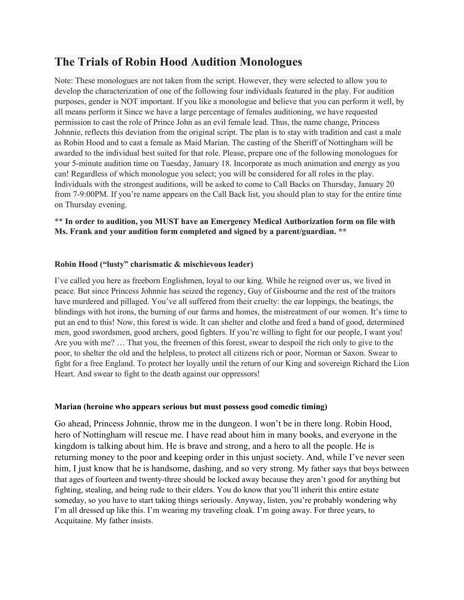# **The Trials of Robin Hood Audition Monologues**

Note: These monologues are not taken from the script. However, they were selected to allow you to develop the characterization of one of the following four individuals featured in the play. For audition purposes, gender is NOT important. If you like a monologue and believe that you can perform it well, by all means perform it Since we have a large percentage of females auditioning, we have requested permission to cast the role of Prince John as an evil female lead. Thus, the name change, Princess Johnnie, reflects this deviation from the original script. The plan is to stay with tradition and cast a male as Robin Hood and to cast a female as Maid Marian. The casting of the Sheriff of Nottingham will be awarded to the individual best suited for that role. Please, prepare one of the following monologues for your 5-minute audition time on Tuesday, January 18. Incorporate as much animation and energy as you can! Regardless of which monologue you select; you will be considered for all roles in the play. Individuals with the strongest auditions, will be asked to come to Call Backs on Thursday, January 20 from 7-9:00PM. If you're name appears on the Call Back list, you should plan to stay for the entire time on Thursday evening.

\*\* **In order to audition, you MUST have an Emergency Medical Authorization form on file with Ms. Frank and your audition form completed and signed by a parent/guardian. \*\***

## **Robin Hood ("lusty" charismatic & mischievous leader)**

I've called you here as freeborn Englishmen, loyal to our king. While he reigned over us, we lived in peace. But since Princess Johnnie has seized the regency, Guy of Gisbourne and the rest of the traitors have murdered and pillaged. You've all suffered from their cruelty: the ear loppings, the beatings, the blindings with hot irons, the burning of our farms and homes, the mistreatment of our women. It's time to put an end to this! Now, this forest is wide. It can shelter and clothe and feed a band of good, determined men, good swordsmen, good archers, good fighters. If you're willing to fight for our people, I want you! Are you with me? … That you, the freemen of this forest, swear to despoil the rich only to give to the poor, to shelter the old and the helpless, to protect all citizens rich or poor, Norman or Saxon. Swear to fight for a free England. To protect her loyally until the return of our King and sovereign Richard the Lion Heart. And swear to fight to the death against our oppressors!

### **Marian (heroine who appears serious but must possess good comedic timing)**

Go ahead, Princess Johnnie, throw me in the dungeon. I won't be in there long. Robin Hood, hero of Nottingham will rescue me. I have read about him in many books, and everyone in the kingdom is talking about him. He is brave and strong, and a hero to all the people. He is returning money to the poor and keeping order in this unjust society. And, while I've never seen him, I just know that he is handsome, dashing, and so very strong. My father says that boys between that ages of fourteen and twenty-three should be locked away because they aren't good for anything but fighting, stealing, and being rude to their elders. You do know that you'll inherit this entire estate someday, so you have to start taking things seriously. Anyway, listen, you're probably wondering why I'm all dressed up like this. I'm wearing my traveling cloak. I'm going away. For three years, to Acquitaine. My father insists.